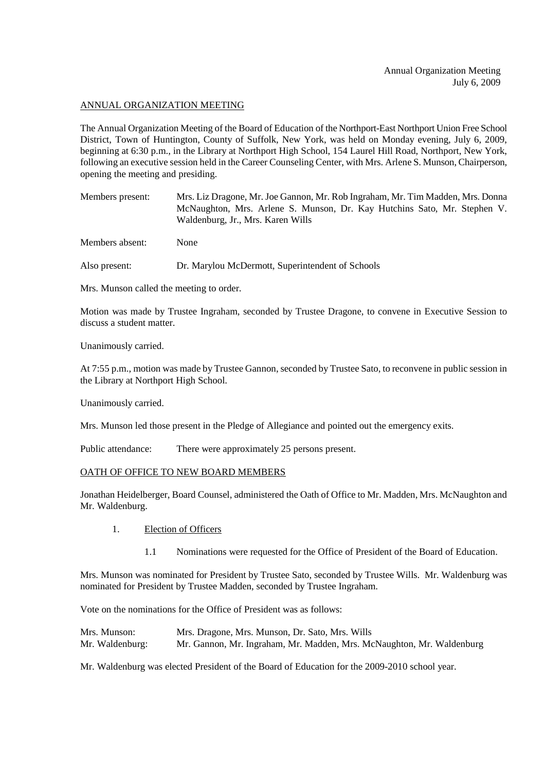#### ANNUAL ORGANIZATION MEETING

The Annual Organization Meeting of the Board of Education of the Northport-East Northport Union Free School District, Town of Huntington, County of Suffolk, New York, was held on Monday evening, July 6, 2009, beginning at 6:30 p.m., in the Library at Northport High School, 154 Laurel Hill Road, Northport, New York, following an executive session held in the Career Counseling Center, with Mrs. Arlene S. Munson, Chairperson, opening the meeting and presiding.

Members present: Mrs. Liz Dragone, Mr. Joe Gannon, Mr. Rob Ingraham, Mr. Tim Madden, Mrs. Donna McNaughton, Mrs. Arlene S. Munson, Dr. Kay Hutchins Sato, Mr. Stephen V. Waldenburg, Jr., Mrs. Karen Wills

Members absent: None

Also present: Dr. Marylou McDermott, Superintendent of Schools

Mrs. Munson called the meeting to order.

Motion was made by Trustee Ingraham, seconded by Trustee Dragone, to convene in Executive Session to discuss a student matter.

Unanimously carried.

At 7:55 p.m., motion was made by Trustee Gannon, seconded by Trustee Sato, to reconvene in public session in the Library at Northport High School.

Unanimously carried.

Mrs. Munson led those present in the Pledge of Allegiance and pointed out the emergency exits.

Public attendance: There were approximately 25 persons present.

## OATH OF OFFICE TO NEW BOARD MEMBERS

Jonathan Heidelberger, Board Counsel, administered the Oath of Office to Mr. Madden, Mrs. McNaughton and Mr. Waldenburg.

- 1. Election of Officers
	- 1.1 Nominations were requested for the Office of President of the Board of Education.

Mrs. Munson was nominated for President by Trustee Sato, seconded by Trustee Wills. Mr. Waldenburg was nominated for President by Trustee Madden, seconded by Trustee Ingraham.

Vote on the nominations for the Office of President was as follows:

| Mrs. Munson:    | Mrs. Dragone, Mrs. Munson, Dr. Sato, Mrs. Wills                       |
|-----------------|-----------------------------------------------------------------------|
| Mr. Waldenburg: | Mr. Gannon, Mr. Ingraham, Mr. Madden, Mrs. McNaughton, Mr. Waldenburg |

Mr. Waldenburg was elected President of the Board of Education for the 2009-2010 school year.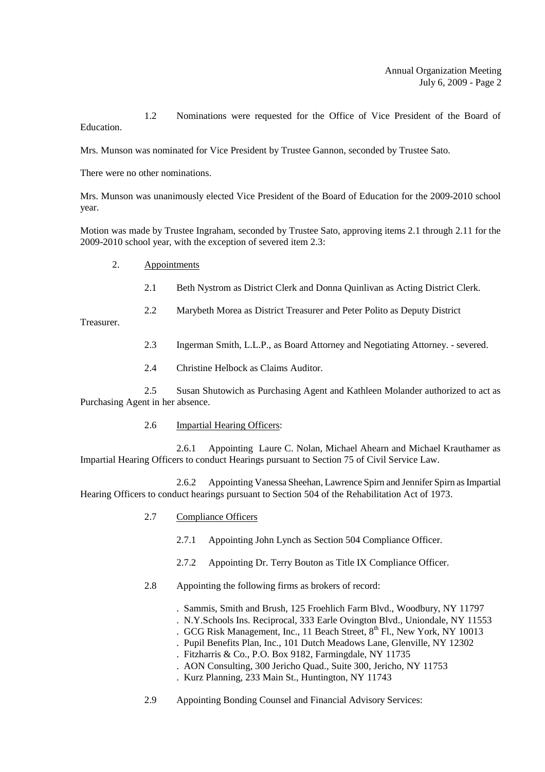1.2 Nominations were requested for the Office of Vice President of the Board of Education.

Mrs. Munson was nominated for Vice President by Trustee Gannon, seconded by Trustee Sato.

There were no other nominations.

Mrs. Munson was unanimously elected Vice President of the Board of Education for the 2009-2010 school year.

Motion was made by Trustee Ingraham, seconded by Trustee Sato, approving items 2.1 through 2.11 for the 2009-2010 school year, with the exception of severed item 2.3:

- 2. Appointments
	- 2.1 Beth Nystrom as District Clerk and Donna Quinlivan as Acting District Clerk.
	- 2.2 Marybeth Morea as District Treasurer and Peter Polito as Deputy District

Treasurer.

- 2.3 Ingerman Smith, L.L.P., as Board Attorney and Negotiating Attorney. severed.
- 2.4 Christine Helbock as Claims Auditor.

2.5 Susan Shutowich as Purchasing Agent and Kathleen Molander authorized to act as Purchasing Agent in her absence.

2.6 Impartial Hearing Officers:

2.6.1 Appointing Laure C. Nolan, Michael Ahearn and Michael Krauthamer as Impartial Hearing Officers to conduct Hearings pursuant to Section 75 of Civil Service Law.

2.6.2 Appointing Vanessa Sheehan, Lawrence Spirn and Jennifer Spirn as Impartial Hearing Officers to conduct hearings pursuant to Section 504 of the Rehabilitation Act of 1973.

- 2.7 Compliance Officers
	- 2.7.1 Appointing John Lynch as Section 504 Compliance Officer.
	- 2.7.2 Appointing Dr. Terry Bouton as Title IX Compliance Officer.
- 2.8 Appointing the following firms as brokers of record:
	- . Sammis, Smith and Brush, 125 Froehlich Farm Blvd., Woodbury, NY 11797
	- . N.Y.Schools Ins. Reciprocal, 333 Earle Ovington Blvd., Uniondale, NY 11553
	- . GCG Risk Management, Inc., 11 Beach Street,  $8<sup>th</sup>$  Fl., New York, NY 10013
	- . Pupil Benefits Plan, Inc., 101 Dutch Meadows Lane, Glenville, NY 12302
	- . Fitzharris & Co., P.O. Box 9182, Farmingdale, NY 11735
	- . AON Consulting, 300 Jericho Quad., Suite 300, Jericho, NY 11753
	- . Kurz Planning, 233 Main St., Huntington, NY 11743
- 2.9 Appointing Bonding Counsel and Financial Advisory Services: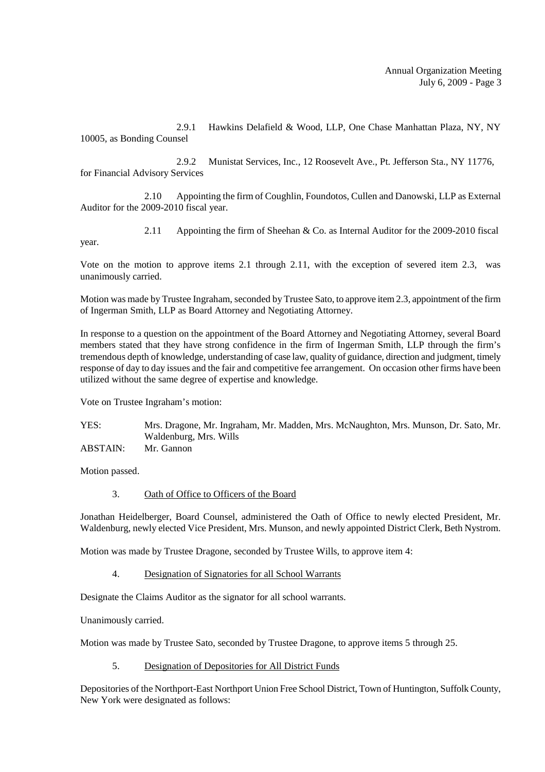2.9.1 Hawkins Delafield & Wood, LLP, One Chase Manhattan Plaza, NY, NY 10005, as Bonding Counsel

2.9.2 Munistat Services, Inc., 12 Roosevelt Ave., Pt. Jefferson Sta., NY 11776, for Financial Advisory Services

2.10 Appointing the firm of Coughlin, Foundotos, Cullen and Danowski, LLP as External Auditor for the 2009-2010 fiscal year.

2.11 Appointing the firm of Sheehan & Co. as Internal Auditor for the 2009-2010 fiscal

Vote on the motion to approve items 2.1 through 2.11, with the exception of severed item 2.3, was unanimously carried.

Motion was made by Trustee Ingraham, seconded by Trustee Sato, to approve item 2.3, appointment of the firm of Ingerman Smith, LLP as Board Attorney and Negotiating Attorney.

In response to a question on the appointment of the Board Attorney and Negotiating Attorney, several Board members stated that they have strong confidence in the firm of Ingerman Smith, LLP through the firm's tremendous depth of knowledge, understanding of case law, quality of guidance, direction and judgment, timely response of day to day issues and the fair and competitive fee arrangement. On occasion other firms have been utilized without the same degree of expertise and knowledge.

Vote on Trustee Ingraham's motion:

YES: Mrs. Dragone, Mr. Ingraham, Mr. Madden, Mrs. McNaughton, Mrs. Munson, Dr. Sato, Mr. Waldenburg, Mrs. Wills ABSTAIN: Mr. Gannon

Motion passed.

year.

## 3. Oath of Office to Officers of the Board

Jonathan Heidelberger, Board Counsel, administered the Oath of Office to newly elected President, Mr. Waldenburg, newly elected Vice President, Mrs. Munson, and newly appointed District Clerk, Beth Nystrom.

Motion was made by Trustee Dragone, seconded by Trustee Wills, to approve item 4:

4. Designation of Signatories for all School Warrants

Designate the Claims Auditor as the signator for all school warrants.

Unanimously carried.

Motion was made by Trustee Sato, seconded by Trustee Dragone, to approve items 5 through 25.

5. Designation of Depositories for All District Funds

Depositories of the Northport-East Northport Union Free School District, Town of Huntington, Suffolk County, New York were designated as follows: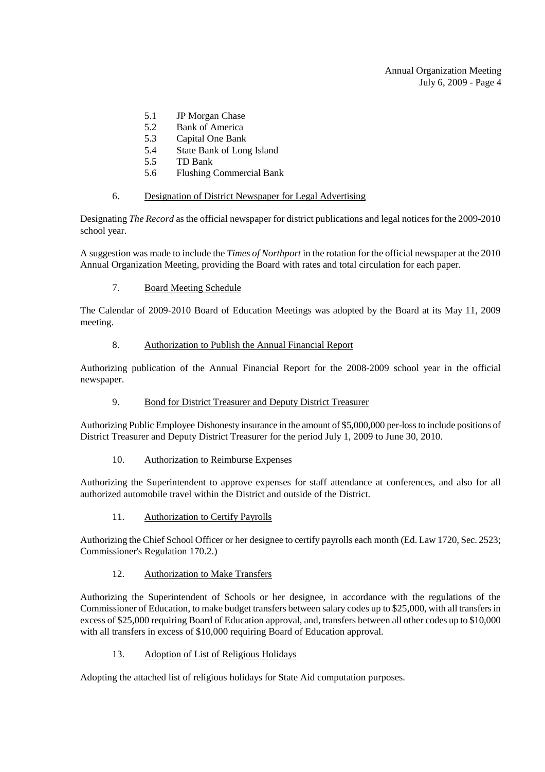- 5.1 JP Morgan Chase
- 5.2 Bank of America
- 5.3 Capital One Bank
- 5.4 State Bank of Long Island
- 5.5 TD Bank
- 5.6 Flushing Commercial Bank

#### 6. Designation of District Newspaper for Legal Advertising

Designating *The Record* as the official newspaper for district publications and legal notices for the 2009-2010 school year.

A suggestion was made to include the *Times of Northport* in the rotation for the official newspaper at the 2010 Annual Organization Meeting, providing the Board with rates and total circulation for each paper.

## 7. Board Meeting Schedule

The Calendar of 2009-2010 Board of Education Meetings was adopted by the Board at its May 11, 2009 meeting.

#### 8. Authorization to Publish the Annual Financial Report

Authorizing publication of the Annual Financial Report for the 2008-2009 school year in the official newspaper.

## 9. Bond for District Treasurer and Deputy District Treasurer

Authorizing Public Employee Dishonesty insurance in the amount of \$5,000,000 per-loss to include positions of District Treasurer and Deputy District Treasurer for the period July 1, 2009 to June 30, 2010.

## 10. Authorization to Reimburse Expenses

Authorizing the Superintendent to approve expenses for staff attendance at conferences, and also for all authorized automobile travel within the District and outside of the District.

## 11. Authorization to Certify Payrolls

Authorizing the Chief School Officer or her designee to certify payrolls each month (Ed. Law 1720, Sec. 2523; Commissioner's Regulation 170.2.)

## 12. Authorization to Make Transfers

Authorizing the Superintendent of Schools or her designee, in accordance with the regulations of the Commissioner of Education, to make budget transfers between salary codes up to \$25,000, with all transfers in excess of \$25,000 requiring Board of Education approval, and, transfers between all other codes up to \$10,000 with all transfers in excess of \$10,000 requiring Board of Education approval.

## 13. Adoption of List of Religious Holidays

Adopting the attached list of religious holidays for State Aid computation purposes.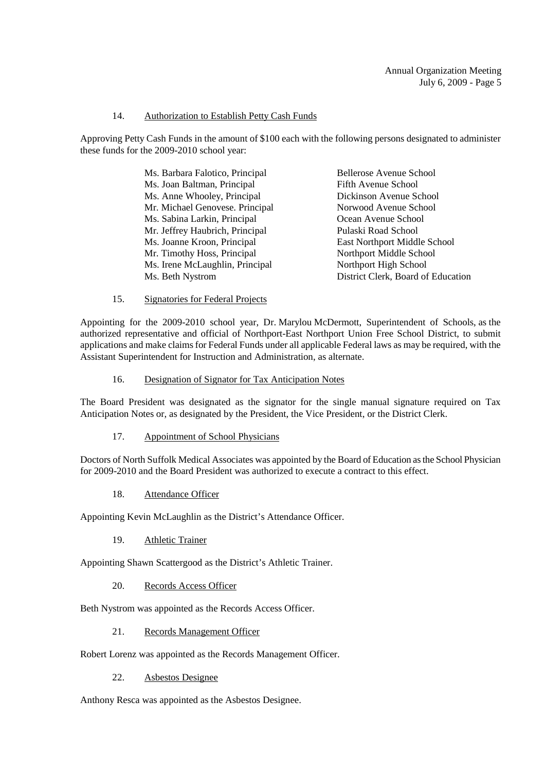#### Annual Organization Meeting July 6, 2009 - Page 5

#### 14. Authorization to Establish Petty Cash Funds

Approving Petty Cash Funds in the amount of \$100 each with the following persons designated to administer these funds for the 2009-2010 school year:

| Ms. Barbara Falotico, Principal | Bellerose Avenue School            |
|---------------------------------|------------------------------------|
| Ms. Joan Baltman, Principal     | Fifth Avenue School                |
| Ms. Anne Whooley, Principal     | Dickinson Avenue School            |
| Mr. Michael Genovese. Principal | Norwood Avenue School              |
| Ms. Sabina Larkin, Principal    | Ocean Avenue School                |
| Mr. Jeffrey Haubrich, Principal | Pulaski Road School                |
| Ms. Joanne Kroon, Principal     | East Northport Middle School       |
| Mr. Timothy Hoss, Principal     | Northport Middle School            |
| Ms. Irene McLaughlin, Principal | Northport High School              |
| Ms. Beth Nystrom                | District Clerk, Board of Education |

15. Signatories for Federal Projects

Appointing for the 2009-2010 school year, Dr. Marylou McDermott, Superintendent of Schools, as the authorized representative and official of Northport-East Northport Union Free School District, to submit applications and make claims for Federal Funds under all applicable Federal laws as may be required, with the Assistant Superintendent for Instruction and Administration, as alternate.

16. Designation of Signator for Tax Anticipation Notes

The Board President was designated as the signator for the single manual signature required on Tax Anticipation Notes or, as designated by the President, the Vice President, or the District Clerk.

17. Appointment of School Physicians

Doctors of North Suffolk Medical Associates was appointed by the Board of Education as the School Physician for 2009-2010 and the Board President was authorized to execute a contract to this effect.

18. Attendance Officer

Appointing Kevin McLaughlin as the District's Attendance Officer.

19. Athletic Trainer

Appointing Shawn Scattergood as the District's Athletic Trainer.

20. Records Access Officer

Beth Nystrom was appointed as the Records Access Officer.

21. Records Management Officer

Robert Lorenz was appointed as the Records Management Officer.

22. Asbestos Designee

Anthony Resca was appointed as the Asbestos Designee.